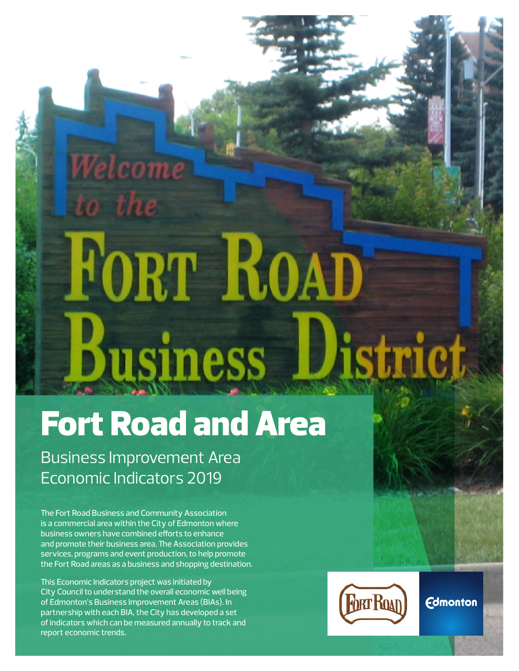# FORT ROAD Business District

# Fort Road and Area

Business Improvement Area Economic Indicators 2019

Welcome

The Fort Road Business and Community Association is a commercial area within the City of Edmonton where business owners have combined efforts to enhance and promote their business area. The Association provides services, programs and event production, to help promote the Fort Road areas as a business and shopping destination.

This Economic Indicators project was initiated by City Council to understand the overall economic well being of Edmonton's Business Improvement Areas (BIAs). In partnership with each BIA, the City has developed a set of indicators which can be measured annually to track and report economic trends.



**Fort Road Business Improvement Area**

**Edmonton**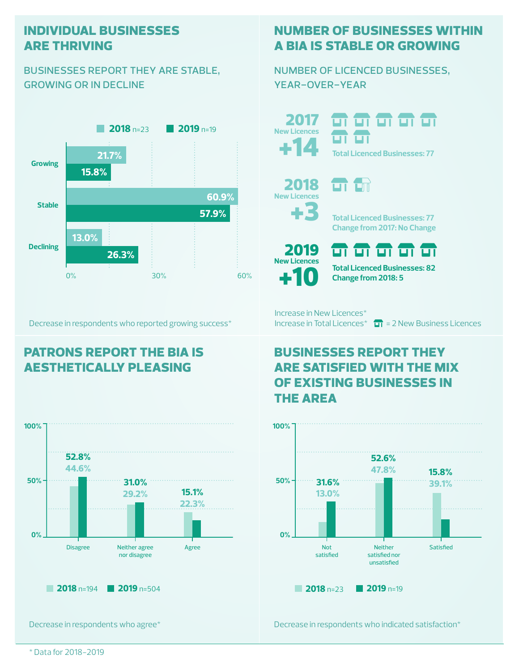#### **individual businesses are thriving**

#### businesses report they are stable, growing or in decline



Decrease in respondents who reported growing success\*

## **patrons report the bia is aesthetically pleasing**



Decrease in respondents who agree\*

## **number of businesses within a bia is stable or growing**

number of licenced businesses, year-over-year

+14 2017 **New Licences**

**2017 11 11 11 11 11** uт **Total Licenced Businesses: 77**

> 2018 **New Licences**

> > $\blacktriangleright$



**Total Licenced Businesses: 77 Change from 2017: No Change**

+10 2019 **New Licences**

ज ज ज ज ज **Total Licenced Businesses: 82**

**Change from 2018: 5**

Increase in New Licences\* Increase in Total Licences<sup>\*</sup>  $\Box$  = 2 New Business Licences

### **businesses report they are satisfied with the mix of existing businesses in the area**



Decrease in respondents who indicated satisfaction\*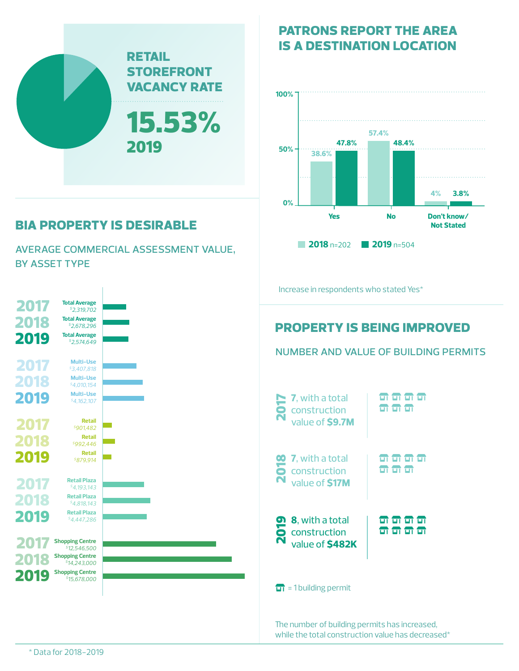

# **bia property is desirable**

average commercial assessment value, by asset type



### **patrons report the area is a destination location**



The number of building permits has increased, while the total construction value has decreased\*